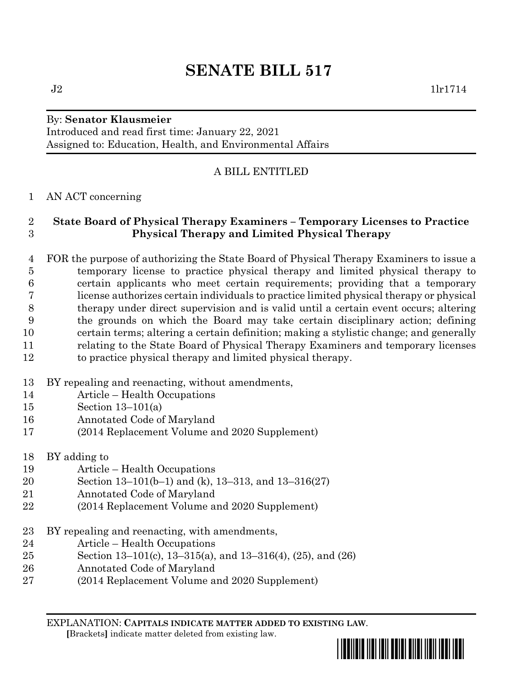# **SENATE BILL 517**

#### By: **Senator Klausmeier**

Introduced and read first time: January 22, 2021 Assigned to: Education, Health, and Environmental Affairs

## A BILL ENTITLED

#### AN ACT concerning

### **State Board of Physical Therapy Examiners – Temporary Licenses to Practice Physical Therapy and Limited Physical Therapy**

- FOR the purpose of authorizing the State Board of Physical Therapy Examiners to issue a temporary license to practice physical therapy and limited physical therapy to certain applicants who meet certain requirements; providing that a temporary license authorizes certain individuals to practice limited physical therapy or physical therapy under direct supervision and is valid until a certain event occurs; altering the grounds on which the Board may take certain disciplinary action; defining certain terms; altering a certain definition; making a stylistic change; and generally relating to the State Board of Physical Therapy Examiners and temporary licenses to practice physical therapy and limited physical therapy.
- BY repealing and reenacting, without amendments,
- Article Health Occupations
- Section 13–101(a)
- Annotated Code of Maryland
- (2014 Replacement Volume and 2020 Supplement)
- BY adding to
- Article Health Occupations
- Section 13–101(b–1) and (k), 13–313, and 13–316(27)
- Annotated Code of Maryland
- (2014 Replacement Volume and 2020 Supplement)
- BY repealing and reenacting, with amendments,
- Article Health Occupations
- Section 13–101(c), 13–315(a), and 13–316(4), (25), and (26)
- Annotated Code of Maryland
- (2014 Replacement Volume and 2020 Supplement)

EXPLANATION: **CAPITALS INDICATE MATTER ADDED TO EXISTING LAW**.  **[**Brackets**]** indicate matter deleted from existing law.

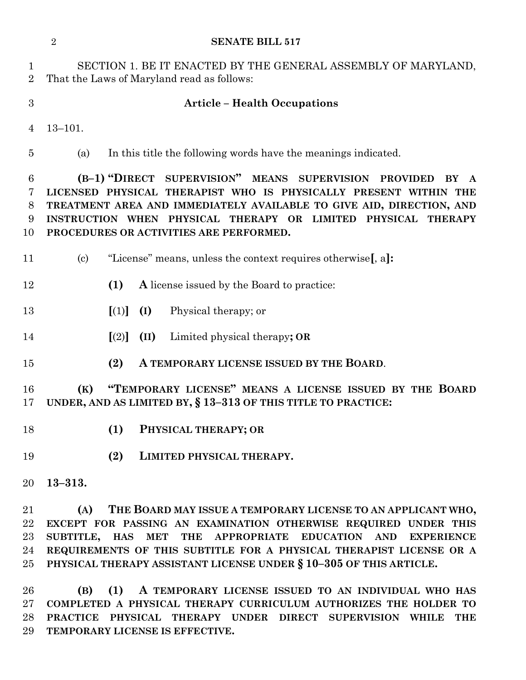|                                | $\overline{2}$<br><b>SENATE BILL 517</b>                                                                                                                                                                                                                                                                            |
|--------------------------------|---------------------------------------------------------------------------------------------------------------------------------------------------------------------------------------------------------------------------------------------------------------------------------------------------------------------|
| $\mathbf{1}$<br>$\overline{2}$ | SECTION 1. BE IT ENACTED BY THE GENERAL ASSEMBLY OF MARYLAND,<br>That the Laws of Maryland read as follows:                                                                                                                                                                                                         |
| 3                              | <b>Article - Health Occupations</b>                                                                                                                                                                                                                                                                                 |
| 4                              | $13 - 101.$                                                                                                                                                                                                                                                                                                         |
| 5                              | In this title the following words have the meanings indicated.<br>(a)                                                                                                                                                                                                                                               |
| 6<br>7<br>8<br>9<br>10         | (B-1) "DIRECT SUPERVISION" MEANS SUPERVISION PROVIDED<br>BY<br>LICENSED PHYSICAL THERAPIST WHO IS PHYSICALLY PRESENT WITHIN THE<br>TREATMENT AREA AND IMMEDIATELY AVAILABLE TO GIVE AID, DIRECTION, AND<br>INSTRUCTION WHEN PHYSICAL THERAPY OR LIMITED PHYSICAL THERAPY<br>PROCEDURES OR ACTIVITIES ARE PERFORMED. |
| 11                             | "License" means, unless the context requires otherwise, a.<br>$\left( \mathrm{c}\right)$                                                                                                                                                                                                                            |
| 12                             | (1)<br>A license issued by the Board to practice:                                                                                                                                                                                                                                                                   |
| 13                             | $\llbracket (1) \rrbracket$ (I)<br>Physical therapy; or                                                                                                                                                                                                                                                             |
| 14                             | $\lceil (2) \rceil$<br>(II)<br>Limited physical therapy; OR                                                                                                                                                                                                                                                         |
| 15                             | (2)<br>A TEMPORARY LICENSE ISSUED BY THE BOARD.                                                                                                                                                                                                                                                                     |
| 16<br>17                       | "TEMPORARY LICENSE" MEANS A LICENSE ISSUED BY THE BOARD<br>(K)<br>UNDER, AND AS LIMITED BY, § 13-313 OF THIS TITLE TO PRACTICE:                                                                                                                                                                                     |
| 18                             | (1)<br>PHYSICAL THERAPY; OR                                                                                                                                                                                                                                                                                         |
| 19                             | (2)<br>LIMITED PHYSICAL THERAPY.                                                                                                                                                                                                                                                                                    |
| 20                             | $13 - 313.$                                                                                                                                                                                                                                                                                                         |
| 21<br>22<br>23<br>24           | THE BOARD MAY ISSUE A TEMPORARY LICENSE TO AN APPLICANT WHO,<br>(A)<br>EXCEPT FOR PASSING AN EXAMINATION OTHERWISE REQUIRED UNDER THIS<br>SUBTITLE, HAS MET THE APPROPRIATE EDUCATION AND<br><b>EXPERIENCE</b><br>REQUIREMENTS OF THIS SUBTITLE FOR A PHYSICAL THERAPIST LICENSE OR A                               |
| 25                             | PHYSICAL THERAPY ASSISTANT LICENSE UNDER § 10-305 OF THIS ARTICLE.                                                                                                                                                                                                                                                  |

 **(B) (1) A TEMPORARY LICENSE ISSUED TO AN INDIVIDUAL WHO HAS COMPLETED A PHYSICAL THERAPY CURRICULUM AUTHORIZES THE HOLDER TO PRACTICE PHYSICAL THERAPY UNDER DIRECT SUPERVISION WHILE THE TEMPORARY LICENSE IS EFFECTIVE.**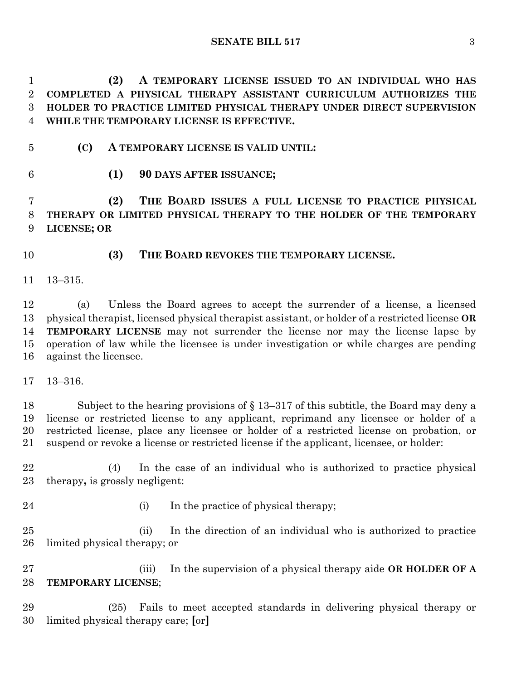**(2) A TEMPORARY LICENSE ISSUED TO AN INDIVIDUAL WHO HAS COMPLETED A PHYSICAL THERAPY ASSISTANT CURRICULUM AUTHORIZES THE HOLDER TO PRACTICE LIMITED PHYSICAL THERAPY UNDER DIRECT SUPERVISION WHILE THE TEMPORARY LICENSE IS EFFECTIVE.**

- **(C) A TEMPORARY LICENSE IS VALID UNTIL:**
- 
- **(1) 90 DAYS AFTER ISSUANCE;**

 **(2) THE BOARD ISSUES A FULL LICENSE TO PRACTICE PHYSICAL THERAPY OR LIMITED PHYSICAL THERAPY TO THE HOLDER OF THE TEMPORARY LICENSE; OR**

- **(3) THE BOARD REVOKES THE TEMPORARY LICENSE.**
- 13–315.

 (a) Unless the Board agrees to accept the surrender of a license, a licensed physical therapist, licensed physical therapist assistant, or holder of a restricted license **OR TEMPORARY LICENSE** may not surrender the license nor may the license lapse by operation of law while the licensee is under investigation or while charges are pending against the licensee.

13–316.

 Subject to the hearing provisions of § 13–317 of this subtitle, the Board may deny a license or restricted license to any applicant, reprimand any licensee or holder of a restricted license, place any licensee or holder of a restricted license on probation, or suspend or revoke a license or restricted license if the applicant, licensee, or holder:

 (4) In the case of an individual who is authorized to practice physical therapy**,** is grossly negligent:

24 (i) In the practice of physical therapy;

 (ii) In the direction of an individual who is authorized to practice limited physical therapy; or

 (iii) In the supervision of a physical therapy aide **OR HOLDER OF A TEMPORARY LICENSE**;

 (25) Fails to meet accepted standards in delivering physical therapy or limited physical therapy care; **[**or**]**